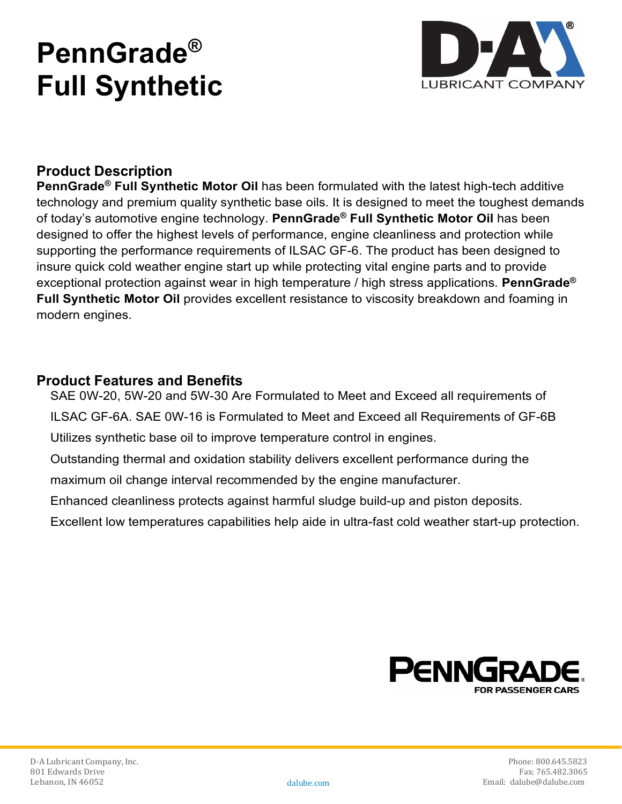# **PennGrade® Full Synthetic**



# **Product Description**

**PennGrade® Full Synthetic Motor Oil** has been formulated with the latest high-tech additive technology and premium quality synthetic base oils. It is designed to meet the toughest demands of today's automotive engine technology. **PennGrade® Full Synthetic Motor Oil** has been designed to offer the highest levels of performance, engine cleanliness and protection while supporting the performance requirements of ILSAC GF-6. The product has been designed to insure quick cold weather engine start up while protecting vital engine parts and to provide exceptional protection against wear in high temperature / high stress applications. **PennGrade® Full Synthetic Motor Oil** provides excellent resistance to viscosity breakdown and foaming in modern engines.

## **Product Features and Benefits**

SAE 0W-20, 5W-20 and 5W-30 Are Formulated to Meet and Exceed all requirements of ILSAC GF-6A. SAE 0W-16 is Formulated to Meet and Exceed all Requirements of GF-6B Utilizes synthetic base oil to improve temperature control in engines.

Outstanding thermal and oxidation stability delivers excellent performance during the maximum oil change interval recommended by the engine manufacturer.

Enhanced cleanliness protects against harmful sludge build-up and piston deposits.

Excellent low temperatures capabilities help aide in ultra-fast cold weather start-up protection.